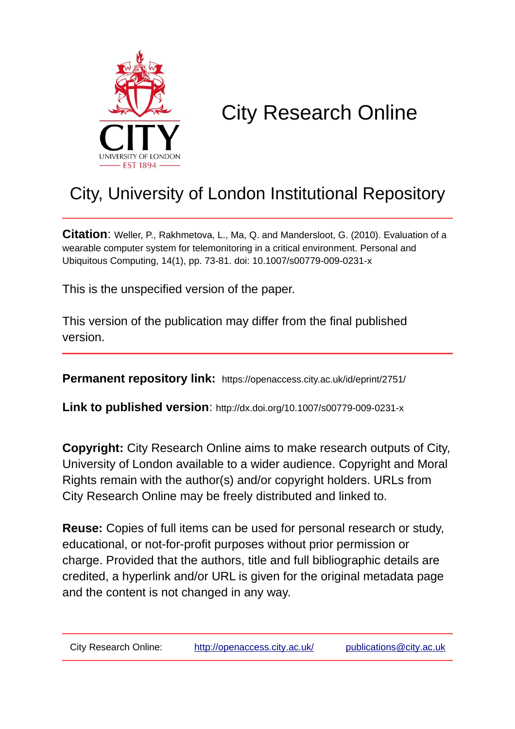

# City Research Online

## City, University of London Institutional Repository

**Citation**: Weller, P., Rakhmetova, L., Ma, Q. and Mandersloot, G. (2010). Evaluation of a wearable computer system for telemonitoring in a critical environment. Personal and Ubiquitous Computing, 14(1), pp. 73-81. doi: 10.1007/s00779-009-0231-x

This is the unspecified version of the paper.

This version of the publication may differ from the final published version.

**Permanent repository link:** https://openaccess.city.ac.uk/id/eprint/2751/

**Link to published version**: http://dx.doi.org/10.1007/s00779-009-0231-x

**Copyright:** City Research Online aims to make research outputs of City, University of London available to a wider audience. Copyright and Moral Rights remain with the author(s) and/or copyright holders. URLs from City Research Online may be freely distributed and linked to.

**Reuse:** Copies of full items can be used for personal research or study, educational, or not-for-profit purposes without prior permission or charge. Provided that the authors, title and full bibliographic details are credited, a hyperlink and/or URL is given for the original metadata page and the content is not changed in any way.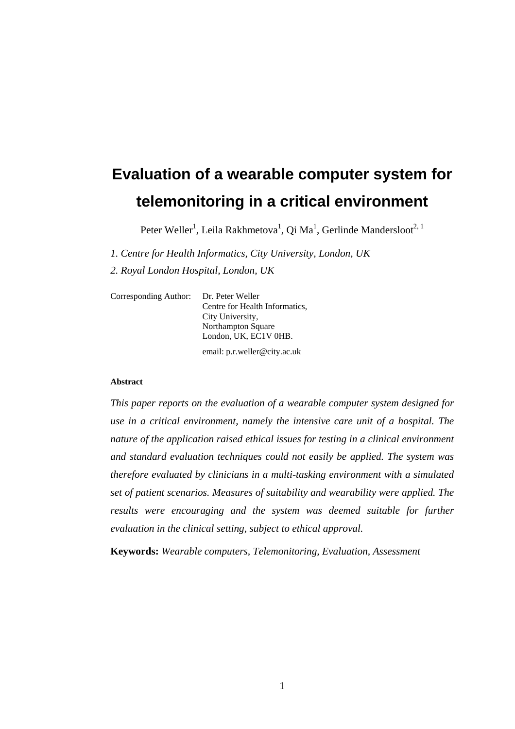## **Evaluation of a wearable computer system for telemonitoring in a critical environment**

Peter Weller<sup>1</sup>, Leila Rakhmetova<sup>1</sup>, Qi Ma<sup>1</sup>, Gerlinde Mandersloot<sup>2, 1</sup>

*1. Centre for Health Informatics, City University, London, UK* 

*2. Royal London Hospital, London, UK* 

| Corresponding Author: | Dr. Peter Weller<br>Centre for Health Informatics.<br>City University,<br>Northampton Square |
|-----------------------|----------------------------------------------------------------------------------------------|
|                       | London, UK, EC1V 0HB.                                                                        |
|                       | email: p.r.weller@city.ac.uk                                                                 |

#### **Abstract**

*This paper reports on the evaluation of a wearable computer system designed for use in a critical environment, namely the intensive care unit of a hospital. The nature of the application raised ethical issues for testing in a clinical environment and standard evaluation techniques could not easily be applied. The system was therefore evaluated by clinicians in a multi-tasking environment with a simulated set of patient scenarios. Measures of suitability and wearability were applied. The results were encouraging and the system was deemed suitable for further evaluation in the clinical setting, subject to ethical approval.* 

**Keywords:** *Wearable computers, Telemonitoring, Evaluation, Assessment*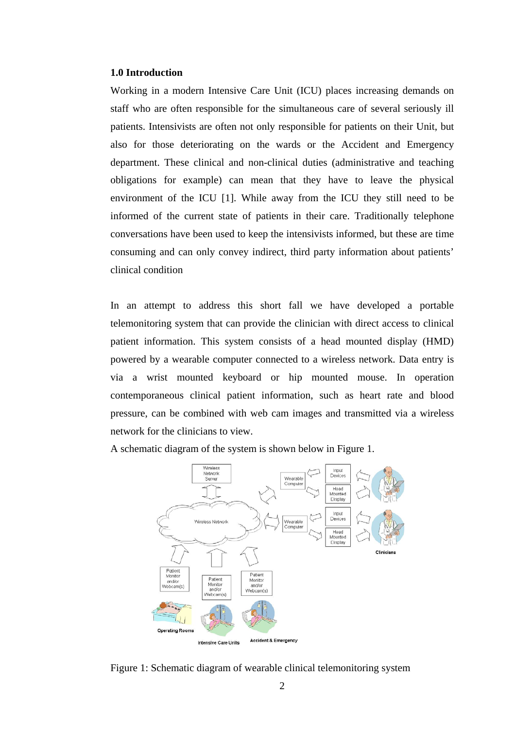#### **1.0 Introduction**

Working in a modern Intensive Care Unit (ICU) places increasing demands on staff who are often responsible for the simultaneous care of several seriously ill patients. Intensivists are often not only responsible for patients on their Unit, but also for those deteriorating on the wards or the Accident and Emergency department. These clinical and non-clinical duties (administrative and teaching obligations for example) can mean that they have to leave the physical environment of the ICU [1]. While away from the ICU they still need to be informed of the current state of patients in their care. Traditionally telephone conversations have been used to keep the intensivists informed, but these are time consuming and can only convey indirect, third party information about patients' clinical condition

In an attempt to address this short fall we have developed a portable telemonitoring system that can provide the clinician with direct access to clinical patient information. This system consists of a head mounted display (HMD) powered by a wearable computer connected to a wireless network. Data entry is via a wrist mounted keyboard or hip mounted mouse. In operation contemporaneous clinical patient information, such as heart rate and blood pressure, can be combined with web cam images and transmitted via a wireless network for the clinicians to view.

A schematic diagram of the system is shown below in Figure 1.



Figure 1: Schematic diagram of wearable clinical telemonitoring system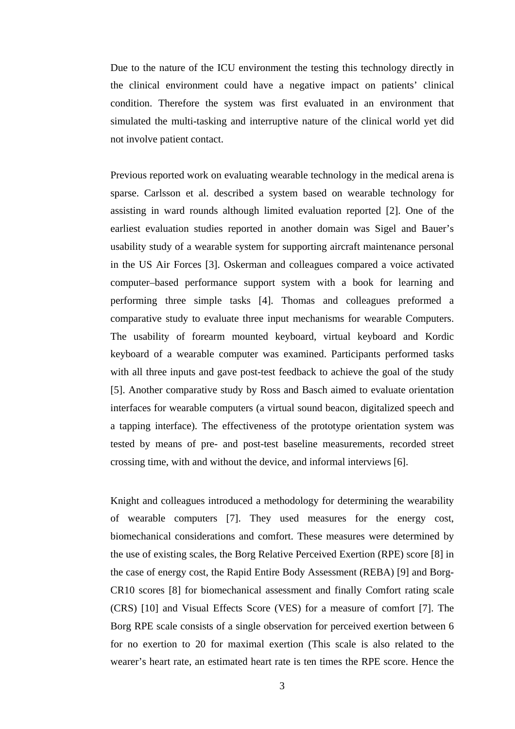Due to the nature of the ICU environment the testing this technology directly in the clinical environment could have a negative impact on patients' clinical condition. Therefore the system was first evaluated in an environment that simulated the multi-tasking and interruptive nature of the clinical world yet did not involve patient contact.

Previous reported work on evaluating wearable technology in the medical arena is sparse. Carlsson et al. described a system based on wearable technology for assisting in ward rounds although limited evaluation reported [2]. One of the earliest evaluation studies reported in another domain was Sigel and Bauer's usability study of a wearable system for supporting aircraft maintenance personal in the US Air Forces [3]. Oskerman and colleagues compared a voice activated computer–based performance support system with a book for learning and performing three simple tasks [4]. Thomas and colleagues preformed a comparative study to evaluate three input mechanisms for wearable Computers. The usability of forearm mounted keyboard, virtual keyboard and Kordic keyboard of a wearable computer was examined. Participants performed tasks with all three inputs and gave post-test feedback to achieve the goal of the study [5]. Another comparative study by Ross and Basch aimed to evaluate orientation interfaces for wearable computers (a virtual sound beacon, digitalized speech and a tapping interface). The effectiveness of the prototype orientation system was tested by means of pre- and post-test baseline measurements, recorded street crossing time, with and without the device, and informal interviews [6].

Knight and colleagues introduced a methodology for determining the wearability of wearable computers [7]. They used measures for the energy cost, biomechanical considerations and comfort. These measures were determined by the use of existing scales, the Borg Relative Perceived Exertion (RPE) score [8] in the case of energy cost, the Rapid Entire Body Assessment (REBA) [9] and Borg-CR10 scores [8] for biomechanical assessment and finally Comfort rating scale (CRS) [10] and Visual Effects Score (VES) for a measure of comfort [7]. The Borg RPE scale consists of a single observation for perceived exertion between 6 for no exertion to 20 for maximal exertion (This scale is also related to the wearer's heart rate, an estimated heart rate is ten times the RPE score. Hence the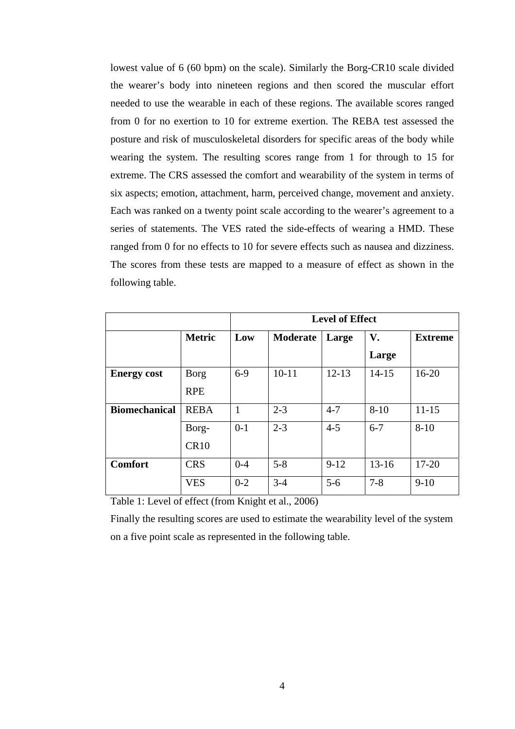lowest value of 6 (60 bpm) on the scale). Similarly the Borg-CR10 scale divided the wearer's body into nineteen regions and then scored the muscular effort needed to use the wearable in each of these regions. The available scores ranged from 0 for no exertion to 10 for extreme exertion. The REBA test assessed the posture and risk of musculoskeletal disorders for specific areas of the body while wearing the system. The resulting scores range from 1 for through to 15 for extreme. The CRS assessed the comfort and wearability of the system in terms of six aspects; emotion, attachment, harm, perceived change, movement and anxiety. Each was ranked on a twenty point scale according to the wearer's agreement to a series of statements. The VES rated the side-effects of wearing a HMD. These ranged from 0 for no effects to 10 for severe effects such as nausea and dizziness. The scores from these tests are mapped to a measure of effect as shown in the following table.

|                      |               |         |           | <b>Level of Effect</b> |           |                |
|----------------------|---------------|---------|-----------|------------------------|-----------|----------------|
|                      | <b>Metric</b> | Low     | Moderate  | Large                  | V.        | <b>Extreme</b> |
|                      |               |         |           |                        | Large     |                |
| <b>Energy cost</b>   | <b>Borg</b>   | $6-9$   | $10 - 11$ | $12 - 13$              | $14 - 15$ | $16-20$        |
|                      | <b>RPE</b>    |         |           |                        |           |                |
| <b>Biomechanical</b> | <b>REBA</b>   | 1       | $2 - 3$   | $4 - 7$                | $8 - 10$  | $11 - 15$      |
|                      | Borg-         | $0-1$   | $2 - 3$   | $4 - 5$                | $6 - 7$   | $8 - 10$       |
|                      | CR10          |         |           |                        |           |                |
| <b>Comfort</b>       | <b>CRS</b>    | $0 - 4$ | $5 - 8$   | $9-12$                 | $13 - 16$ | $17 - 20$      |
|                      | <b>VES</b>    | $0 - 2$ | $3 - 4$   | $5 - 6$                | $7 - 8$   | $9-10$         |

Table 1: Level of effect (from Knight et al., 2006)

Finally the resulting scores are used to estimate the wearability level of the system on a five point scale as represented in the following table.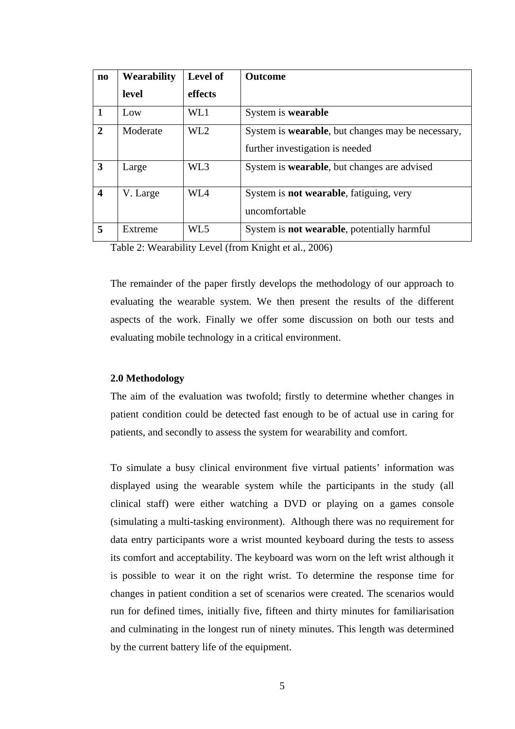| $\mathbf{n}\mathbf{o}$ | Wearability | Level of        | <b>Outcome</b>                                                                               |
|------------------------|-------------|-----------------|----------------------------------------------------------------------------------------------|
|                        | level       | effects         |                                                                                              |
|                        | Low         | WL1             | System is wearable                                                                           |
| $\mathbf{2}$           | Moderate    | WL <sub>2</sub> | System is <b>wearable</b> , but changes may be necessary,<br>further investigation is needed |
| 3                      | Large       | WL3             | System is <b>wearable</b> , but changes are advised                                          |
| $\boldsymbol{4}$       | V. Large    | WL4             | System is <b>not wearable</b> , fatiguing, very<br>uncomfortable                             |
| 5                      | Extreme     | WL5             | System is <b>not wearable</b> , potentially harmful                                          |

Table 2: Wearability Level (from Knight et al., 2006)

The remainder of the paper firstly develops the methodology of our approach to evaluating the wearable system. We then present the results of the different aspects of the work. Finally we offer some discussion on both our tests and evaluating mobile technology in a critical environment.

#### **2.0 Methodology**

The aim of the evaluation was twofold; firstly to determine whether changes in patient condition could be detected fast enough to be of actual use in caring for patients, and secondly to assess the system for wearability and comfort.

To simulate a busy clinical environment five virtual patients' information was displayed using the wearable system while the participants in the study (all clinical staff) were either watching a DVD or playing on a games console (simulating a multi-tasking environment). Although there was no requirement for data entry participants wore a wrist mounted keyboard during the tests to assess its comfort and acceptability. The keyboard was worn on the left wrist although it is possible to wear it on the right wrist. To determine the response time for changes in patient condition a set of scenarios were created. The scenarios would run for defined times, initially five, fifteen and thirty minutes for familiarisation and culminating in the longest run of ninety minutes. This length was determined by the current battery life of the equipment.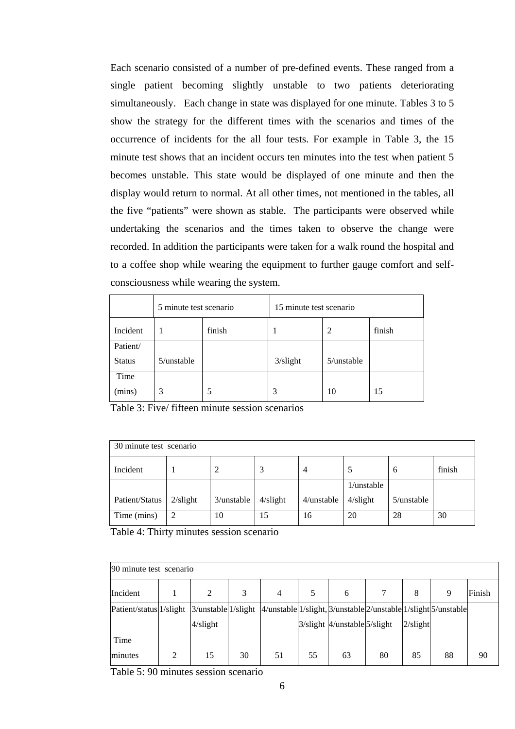Each scenario consisted of a number of pre-defined events. These ranged from a single patient becoming slightly unstable to two patients deteriorating simultaneously. Each change in state was displayed for one minute. Tables 3 to 5 show the strategy for the different times with the scenarios and times of the occurrence of incidents for the all four tests. For example in Table 3, the 15 minute test shows that an incident occurs ten minutes into the test when patient 5 becomes unstable. This state would be displayed of one minute and then the display would return to normal. At all other times, not mentioned in the tables, all the five "patients" were shown as stable. The participants were observed while undertaking the scenarios and the times taken to observe the change were recorded. In addition the participants were taken for a walk round the hospital and to a coffee shop while wearing the equipment to further gauge comfort and selfconsciousness while wearing the system.

|               | 5 minute test scenario |        | 15 minute test scenario |                |        |  |  |  |  |
|---------------|------------------------|--------|-------------------------|----------------|--------|--|--|--|--|
| Incident      |                        | finish |                         | $\overline{2}$ | finish |  |  |  |  |
| Patient/      |                        |        |                         |                |        |  |  |  |  |
| <b>Status</b> | $5$ /unstable          |        | $3/s$ light             | $5$ /unstable  |        |  |  |  |  |
| Time          |                        |        |                         |                |        |  |  |  |  |
| (mins)        | 3                      |        | 3                       | 10             | 15     |  |  |  |  |

Table 3: Five/ fifteen minute session scenarios

| 30 minute test scenario |             |            |             |               |               |               |        |  |  |  |  |  |  |
|-------------------------|-------------|------------|-------------|---------------|---------------|---------------|--------|--|--|--|--|--|--|
| Incident                |             |            | 3           | 4             |               | 6             | finish |  |  |  |  |  |  |
|                         |             |            |             |               | $1$ /unstable |               |        |  |  |  |  |  |  |
| Patient/Status          | $2/s$ light | 3/unstable | $4$ /slight | $4$ /unstable | $4$ /slight   | $5$ /unstable |        |  |  |  |  |  |  |
| Time (mins)             | 2           | 10         | 15          | 16            | 20            | 28            | 30     |  |  |  |  |  |  |

Table 4: Thirty minutes session scenario

|                         | 90 minute test scenario |                           |    |                                                                |    |                                       |    |             |    |        |  |  |  |  |  |
|-------------------------|-------------------------|---------------------------|----|----------------------------------------------------------------|----|---------------------------------------|----|-------------|----|--------|--|--|--|--|--|
| Incident                |                         | 2                         | 3  | 4                                                              | 5  | 6                                     |    | 8           | 9  | Finish |  |  |  |  |  |
| Patient/status 1/slight |                         | $3$ /unstable $1$ /slight |    | 4/unstable 1/slight, 3/unstable 2/unstable 1/slight 5/unstable |    |                                       |    |             |    |        |  |  |  |  |  |
|                         |                         | $4$ /slight               |    |                                                                |    | $3/s$ light $4/$ unstable $5/s$ light |    | $2/s$ light |    |        |  |  |  |  |  |
| Time                    |                         |                           |    |                                                                |    |                                       |    |             |    |        |  |  |  |  |  |
| minutes                 | 2                       | 15                        | 30 | 51                                                             | 55 | 63                                    | 80 | 85          | 88 | 90     |  |  |  |  |  |

Table 5: 90 minutes session scenario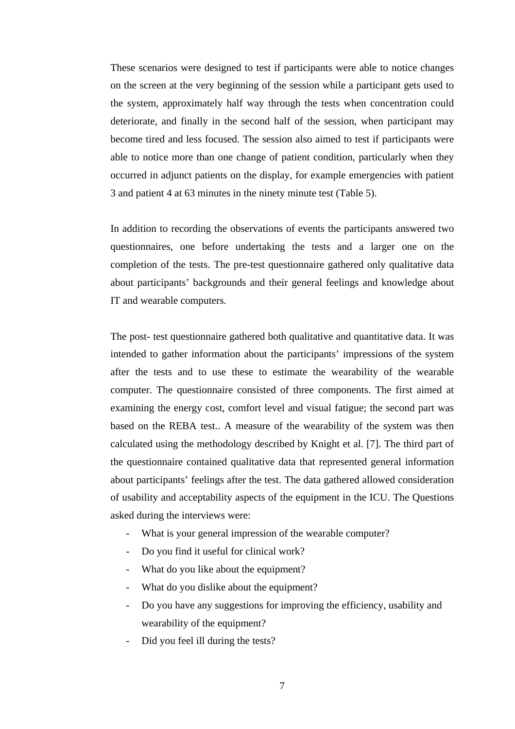These scenarios were designed to test if participants were able to notice changes on the screen at the very beginning of the session while a participant gets used to the system, approximately half way through the tests when concentration could deteriorate, and finally in the second half of the session, when participant may become tired and less focused. The session also aimed to test if participants were able to notice more than one change of patient condition, particularly when they occurred in adjunct patients on the display, for example emergencies with patient 3 and patient 4 at 63 minutes in the ninety minute test (Table 5).

In addition to recording the observations of events the participants answered two questionnaires, one before undertaking the tests and a larger one on the completion of the tests. The pre-test questionnaire gathered only qualitative data about participants' backgrounds and their general feelings and knowledge about IT and wearable computers.

The post- test questionnaire gathered both qualitative and quantitative data. It was intended to gather information about the participants' impressions of the system after the tests and to use these to estimate the wearability of the wearable computer. The questionnaire consisted of three components. The first aimed at examining the energy cost, comfort level and visual fatigue; the second part was based on the REBA test.. A measure of the wearability of the system was then calculated using the methodology described by Knight et al. [7]. The third part of the questionnaire contained qualitative data that represented general information about participants' feelings after the test. The data gathered allowed consideration of usability and acceptability aspects of the equipment in the ICU. The Questions asked during the interviews were:

- What is your general impression of the wearable computer?
- Do you find it useful for clinical work?
- What do you like about the equipment?
- What do you dislike about the equipment?
- Do you have any suggestions for improving the efficiency, usability and wearability of the equipment?
- Did you feel ill during the tests?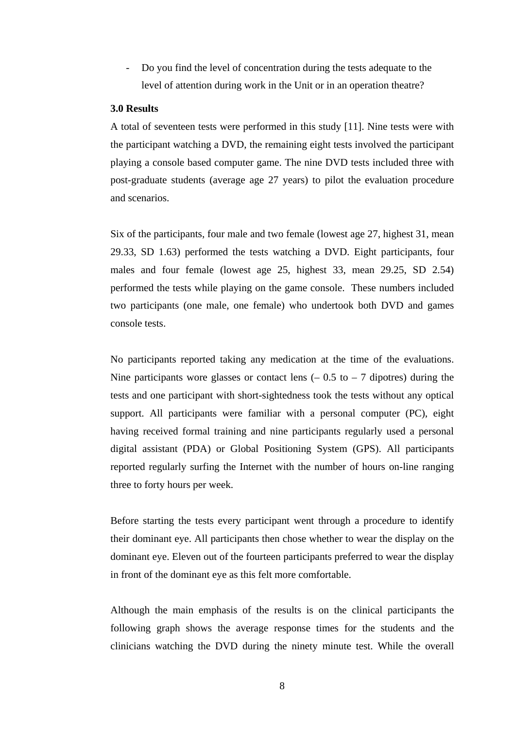- Do you find the level of concentration during the tests adequate to the level of attention during work in the Unit or in an operation theatre?

#### **3.0 Results**

A total of seventeen tests were performed in this study [11]. Nine tests were with the participant watching a DVD, the remaining eight tests involved the participant playing a console based computer game. The nine DVD tests included three with post-graduate students (average age 27 years) to pilot the evaluation procedure and scenarios.

Six of the participants, four male and two female (lowest age 27, highest 31, mean 29.33, SD 1.63) performed the tests watching a DVD. Eight participants, four males and four female (lowest age 25, highest 33, mean 29.25, SD 2.54) performed the tests while playing on the game console. These numbers included two participants (one male, one female) who undertook both DVD and games console tests.

No participants reported taking any medication at the time of the evaluations. Nine participants wore glasses or contact lens  $(-0.5 \text{ to } -7)$  dipotres) during the tests and one participant with short-sightedness took the tests without any optical support. All participants were familiar with a personal computer (PC), eight having received formal training and nine participants regularly used a personal digital assistant (PDA) or Global Positioning System (GPS). All participants reported regularly surfing the Internet with the number of hours on-line ranging three to forty hours per week.

Before starting the tests every participant went through a procedure to identify their dominant eye. All participants then chose whether to wear the display on the dominant eye. Eleven out of the fourteen participants preferred to wear the display in front of the dominant eye as this felt more comfortable.

Although the main emphasis of the results is on the clinical participants the following graph shows the average response times for the students and the clinicians watching the DVD during the ninety minute test. While the overall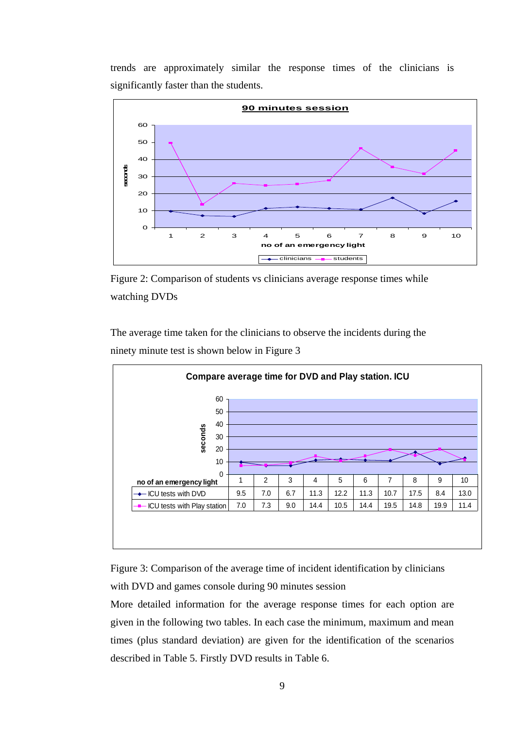trends are approximately similar the response times of the clinicians is significantly faster than the students.



Figure 2: Comparison of students vs clinicians average response times while watching DVDs

The average time taken for the clinicians to observe the incidents during the ninety minute test is shown below in Figure 3



Figure 3: Comparison of the average time of incident identification by clinicians with DVD and games console during 90 minutes session

More detailed information for the average response times for each option are given in the following two tables. In each case the minimum, maximum and mean times (plus standard deviation) are given for the identification of the scenarios described in Table 5. Firstly DVD results in Table 6.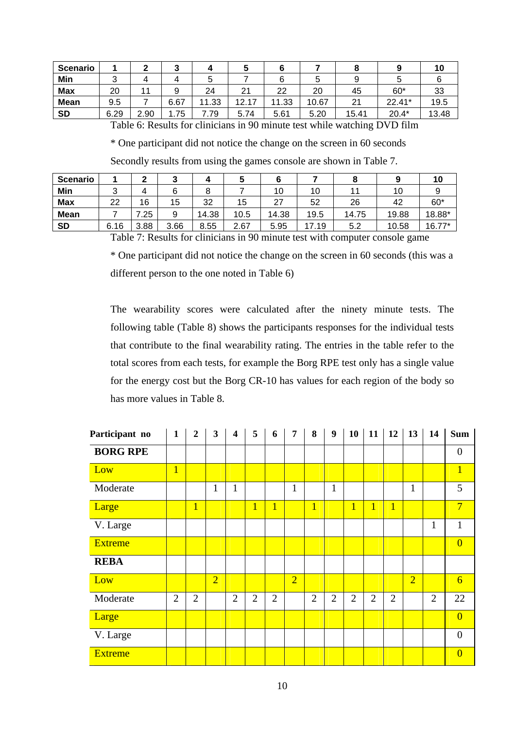| <b>Scenario</b> |      |      | w    |       | w     |       |       |       |         | 10    |
|-----------------|------|------|------|-------|-------|-------|-------|-------|---------|-------|
| Min             |      |      |      |       |       | 0     | ີ     |       |         |       |
| <b>Max</b>      | 20   |      |      | 24    | 21    | 22    | 20    | 45    | $60*$   | 33    |
| <b>Mean</b>     | 9.5  |      | 6.67 | 11.33 | 12.17 | 11.33 | 10.67 | 21    | 22.41*  | 19.5  |
| <b>SD</b>       | 6.29 | 2.90 | . 75 | 1.79  | 5.74  | 5.61  | 5.20  | 15.41 | $20.4*$ | 13.48 |

Table 6: Results for clinicians in 90 minute test while watching DVD film

\* One participant did not notice the change on the screen in 60 seconds

Secondly results from using the games console are shown in Table 7.

| <b>Scenario</b> |      |      |      |       |      |               |       |       |       | ιu     |
|-----------------|------|------|------|-------|------|---------------|-------|-------|-------|--------|
| Min             | ⌒    |      |      | ິ     |      | 10            | 10    |       | 10    |        |
| <b>Max</b>      | 22   | 16   | 15   | 32    | 15   | -27           | 52    | 26    | 42    | $60*$  |
| <b>Mean</b>     |      | 25   | 9    | 14.38 | 10.5 | 14.38<br>19.5 |       | 14.75 | 19.88 | 18.88* |
| <b>SD</b>       | 6.16 | 3.88 | 3.66 | 8.55  | 2.67 | 5.95          | 17.19 | 5.2   | 10.58 | 16.77* |

Table 7: Results for clinicians in 90 minute test with computer console game

\* One participant did not notice the change on the screen in 60 seconds (this was a different person to the one noted in Table 6)

The wearability scores were calculated after the ninety minute tests. The following table (Table 8) shows the participants responses for the individual tests that contribute to the final wearability rating. The entries in the table refer to the total scores from each tests, for example the Borg RPE test only has a single value for the energy cost but the Borg CR-10 has values for each region of the body so has more values in Table 8.

| Participant no  | $\mathbf{1}$   | $\overline{2}$ | $\mathbf{3}$   | $\overline{\mathbf{4}}$ | 5              | 6              | $\overline{7}$ | 8              | $\boldsymbol{9}$ | 10             | 11             | 12             | 13             | 14             | <b>Sum</b>       |
|-----------------|----------------|----------------|----------------|-------------------------|----------------|----------------|----------------|----------------|------------------|----------------|----------------|----------------|----------------|----------------|------------------|
| <b>BORG RPE</b> |                |                |                |                         |                |                |                |                |                  |                |                |                |                |                | $\boldsymbol{0}$ |
| Low             | $\overline{1}$ |                |                |                         |                |                |                |                |                  |                |                |                |                |                | $\mathbf{1}$     |
| Moderate        |                |                | $\mathbf{1}$   | $\mathbf{1}$            |                |                | $\mathbf{1}$   |                | $\mathbf{1}$     |                |                |                | $\mathbf{1}$   |                | 5                |
| Large           |                | $\mathbf{1}$   |                |                         | $\overline{1}$ | $\overline{1}$ |                | $\overline{1}$ |                  | $\overline{1}$ | $\overline{1}$ | $\mathbf{1}$   |                |                | $7\phantom{.0}$  |
| V. Large        |                |                |                |                         |                |                |                |                |                  |                |                |                |                | $\mathbf{1}$   | $\mathbf{1}$     |
| <b>Extreme</b>  |                |                |                |                         |                |                |                |                |                  |                |                |                |                |                | $\overline{0}$   |
| <b>REBA</b>     |                |                |                |                         |                |                |                |                |                  |                |                |                |                |                |                  |
| Low             |                |                | $\overline{2}$ |                         |                |                | $\overline{2}$ |                |                  |                |                |                | $\overline{2}$ |                | $6\overline{}$   |
| Moderate        | $\overline{2}$ | $\overline{2}$ |                | $\overline{2}$          | $\overline{2}$ | $\overline{2}$ |                | $\overline{2}$ | $\overline{2}$   | $\overline{2}$ | $\overline{2}$ | $\overline{2}$ |                | $\overline{2}$ | 22               |
| Large           |                |                |                |                         |                |                |                |                |                  |                |                |                |                |                | $\overline{0}$   |
| V. Large        |                |                |                |                         |                |                |                |                |                  |                |                |                |                |                | $\boldsymbol{0}$ |
| <b>Extreme</b>  |                |                |                |                         |                |                |                |                |                  |                |                |                |                |                | $\overline{0}$   |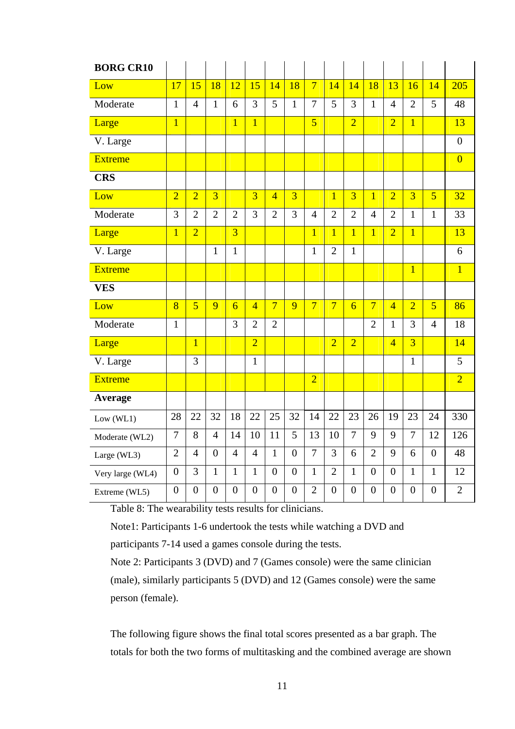| <b>BORG CR10</b> |                |                |                |                |                |                |                  |                |                |                |                |                |                |                |                |
|------------------|----------------|----------------|----------------|----------------|----------------|----------------|------------------|----------------|----------------|----------------|----------------|----------------|----------------|----------------|----------------|
| Low              | 17             | 15             | 18             | 12             | 15             | 14             | 18               | $\overline{7}$ | 14             | 14             | 18             | 13             | 16             | 14             | 205            |
| Moderate         | $\mathbf{1}$   | $\overline{4}$ | $\mathbf{1}$   | 6              | 3              | 5              | $\mathbf{1}$     | $\overline{7}$ | 5              | 3              | $\mathbf{1}$   | $\overline{4}$ | $\overline{2}$ | 5              | 48             |
| Large            | $\overline{1}$ |                |                | $\overline{1}$ | $\overline{1}$ |                |                  | $\overline{5}$ |                | $\overline{2}$ |                | $\overline{2}$ | $\overline{1}$ |                | 13             |
| V. Large         |                |                |                |                |                |                |                  |                |                |                |                |                |                |                | $\overline{0}$ |
| <b>Extreme</b>   |                |                |                |                |                |                |                  |                |                |                |                |                |                |                | $\overline{0}$ |
| <b>CRS</b>       |                |                |                |                |                |                |                  |                |                |                |                |                |                |                |                |
| Low              | $\overline{2}$ | $\overline{2}$ | $\overline{3}$ |                | $\overline{3}$ | $\overline{4}$ | $\overline{3}$   |                | $\overline{1}$ | $\overline{3}$ | $\overline{1}$ | $\overline{2}$ | $\overline{3}$ | $\overline{5}$ | 32             |
| Moderate         | 3              | $\overline{2}$ | $\overline{2}$ | $\overline{2}$ | 3              | $\overline{2}$ | 3                | $\overline{4}$ | $\overline{2}$ | $\overline{2}$ | $\overline{4}$ | $\overline{2}$ | $\mathbf{1}$   | $\mathbf{1}$   | 33             |
| Large            | $\overline{1}$ | $\overline{2}$ |                | $\overline{3}$ |                |                |                  | $\overline{1}$ | $\overline{1}$ | $\overline{1}$ | $\overline{1}$ | $\overline{2}$ | $\overline{1}$ |                | 13             |
| V. Large         |                |                | $\mathbf{1}$   | $\mathbf{1}$   |                |                |                  | $\mathbf{1}$   | $\overline{2}$ | $\mathbf{1}$   |                |                |                |                | 6              |
| <b>Extreme</b>   |                |                |                |                |                |                |                  |                |                |                |                |                | $\overline{1}$ |                | $\overline{1}$ |
| <b>VES</b>       |                |                |                |                |                |                |                  |                |                |                |                |                |                |                |                |
| Low              | 8              | $\overline{5}$ | 9              | $\overline{6}$ | $\overline{4}$ | $\overline{7}$ | 9                | $\overline{7}$ | $\overline{7}$ | $\overline{6}$ | $\overline{7}$ | $\overline{4}$ | $\overline{2}$ | $\overline{5}$ | 86             |
| Moderate         | $\mathbf{1}$   |                |                | 3              | $\overline{2}$ | $\overline{2}$ |                  |                |                |                | $\overline{2}$ | $\mathbf{1}$   | 3              | $\overline{4}$ | 18             |
| Large            |                | $\overline{1}$ |                |                | $\overline{2}$ |                |                  |                | $\overline{2}$ | $\overline{2}$ |                | $\overline{4}$ | $\overline{3}$ |                | 14             |
| V. Large         |                | $\overline{3}$ |                |                | $\mathbf{1}$   |                |                  |                |                |                |                |                | $\overline{1}$ |                | 5              |
| <b>Extreme</b>   |                |                |                |                |                |                |                  | $\overline{2}$ |                |                |                |                |                |                | $\overline{2}$ |
| Average          |                |                |                |                |                |                |                  |                |                |                |                |                |                |                |                |
| Low (WL1)        | 28             | 22             | 32             | 18             | 22             | 25             | 32               | 14             | 22             | 23             | 26             | 19             | 23             | 24             | 330            |
| Moderate (WL2)   | $\overline{7}$ | 8              | $\overline{4}$ | 14             | 10             | 11             | 5                | 13             | 10             | $\overline{7}$ | 9              | 9              | $\overline{7}$ | 12             | 126            |
| Large (WL3)      | $\overline{2}$ | $\overline{4}$ | $\overline{0}$ | $\overline{4}$ | $\overline{4}$ | $\mathbf{1}$   | $\overline{0}$   | $\overline{7}$ | 3              | 6              | $\overline{2}$ | 9              | 6              | $\overline{0}$ | 48             |
| Very large (WL4) | $\overline{0}$ | 3              | $\mathbf{1}$   | $\mathbf{1}$   | $\mathbf{1}$   | $\overline{0}$ | $\boldsymbol{0}$ | $\mathbf{1}$   | $\overline{2}$ | $\mathbf{1}$   | $\theta$       | $\overline{0}$ | $\mathbf{1}$   | $\mathbf{1}$   | 12             |
| Extreme (WL5)    | $\overline{0}$ | $\overline{0}$ | $\overline{0}$ | $\overline{0}$ | $\overline{0}$ | $\overline{0}$ | $\overline{0}$   | $\overline{2}$ | $\overline{0}$ | $\overline{0}$ | $\overline{0}$ | $\overline{0}$ | $\overline{0}$ | $\overline{0}$ | $\overline{2}$ |

Table 8: The wearability tests results for clinicians.

Note1: Participants 1-6 undertook the tests while watching a DVD and

participants 7-14 used a games console during the tests.

Note 2: Participants 3 (DVD) and 7 (Games console) were the same clinician (male), similarly participants 5 (DVD) and 12 (Games console) were the same person (female).

The following figure shows the final total scores presented as a bar graph. The totals for both the two forms of multitasking and the combined average are shown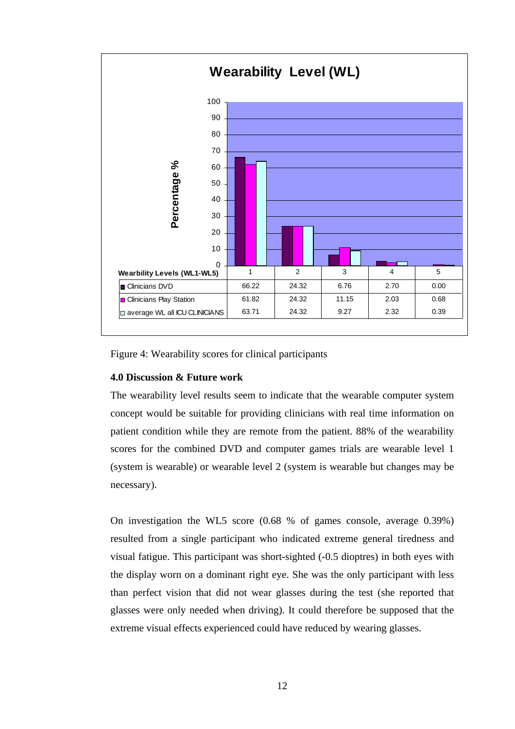

Figure 4: Wearability scores for clinical participants

## **4.0 Discussion & Future work**

The wearability level results seem to indicate that the wearable computer system concept would be suitable for providing clinicians with real time information on patient condition while they are remote from the patient. 88% of the wearability scores for the combined DVD and computer games trials are wearable level 1 (system is wearable) or wearable level 2 (system is wearable but changes may be necessary).

On investigation the WL5 score (0.68 % of games console, average 0.39%) resulted from a single participant who indicated extreme general tiredness and visual fatigue. This participant was short-sighted (-0.5 dioptres) in both eyes with the display worn on a dominant right eye. She was the only participant with less than perfect vision that did not wear glasses during the test (she reported that glasses were only needed when driving). It could therefore be supposed that the extreme visual effects experienced could have reduced by wearing glasses.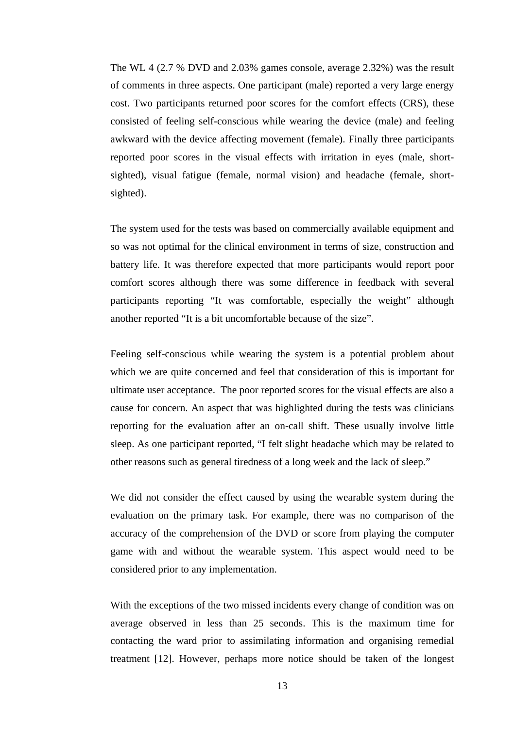The WL 4 (2.7 % DVD and 2.03% games console, average 2.32%) was the result of comments in three aspects. One participant (male) reported a very large energy cost. Two participants returned poor scores for the comfort effects (CRS), these consisted of feeling self-conscious while wearing the device (male) and feeling awkward with the device affecting movement (female). Finally three participants reported poor scores in the visual effects with irritation in eyes (male, shortsighted), visual fatigue (female, normal vision) and headache (female, shortsighted).

The system used for the tests was based on commercially available equipment and so was not optimal for the clinical environment in terms of size, construction and battery life. It was therefore expected that more participants would report poor comfort scores although there was some difference in feedback with several participants reporting "It was comfortable, especially the weight" although another reported "It is a bit uncomfortable because of the size".

Feeling self-conscious while wearing the system is a potential problem about which we are quite concerned and feel that consideration of this is important for ultimate user acceptance. The poor reported scores for the visual effects are also a cause for concern. An aspect that was highlighted during the tests was clinicians reporting for the evaluation after an on-call shift. These usually involve little sleep. As one participant reported, "I felt slight headache which may be related to other reasons such as general tiredness of a long week and the lack of sleep."

We did not consider the effect caused by using the wearable system during the evaluation on the primary task. For example, there was no comparison of the accuracy of the comprehension of the DVD or score from playing the computer game with and without the wearable system. This aspect would need to be considered prior to any implementation.

With the exceptions of the two missed incidents every change of condition was on average observed in less than 25 seconds. This is the maximum time for contacting the ward prior to assimilating information and organising remedial treatment [12]. However, perhaps more notice should be taken of the longest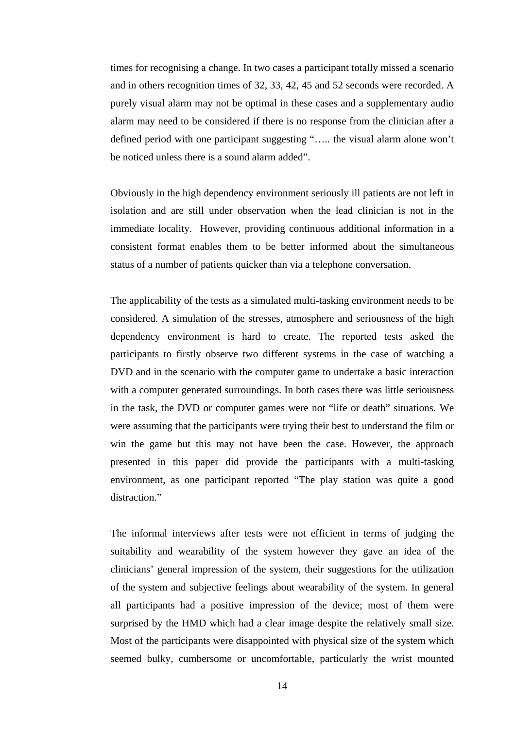times for recognising a change. In two cases a participant totally missed a scenario and in others recognition times of 32, 33, 42, 45 and 52 seconds were recorded. A purely visual alarm may not be optimal in these cases and a supplementary audio alarm may need to be considered if there is no response from the clinician after a defined period with one participant suggesting "….. the visual alarm alone won't be noticed unless there is a sound alarm added".

Obviously in the high dependency environment seriously ill patients are not left in isolation and are still under observation when the lead clinician is not in the immediate locality. However, providing continuous additional information in a consistent format enables them to be better informed about the simultaneous status of a number of patients quicker than via a telephone conversation.

The applicability of the tests as a simulated multi-tasking environment needs to be considered. A simulation of the stresses, atmosphere and seriousness of the high dependency environment is hard to create. The reported tests asked the participants to firstly observe two different systems in the case of watching a DVD and in the scenario with the computer game to undertake a basic interaction with a computer generated surroundings. In both cases there was little seriousness in the task, the DVD or computer games were not "life or death" situations. We were assuming that the participants were trying their best to understand the film or win the game but this may not have been the case. However, the approach presented in this paper did provide the participants with a multi-tasking environment, as one participant reported "The play station was quite a good distraction."

The informal interviews after tests were not efficient in terms of judging the suitability and wearability of the system however they gave an idea of the clinicians' general impression of the system, their suggestions for the utilization of the system and subjective feelings about wearability of the system. In general all participants had a positive impression of the device; most of them were surprised by the HMD which had a clear image despite the relatively small size. Most of the participants were disappointed with physical size of the system which seemed bulky, cumbersome or uncomfortable, particularly the wrist mounted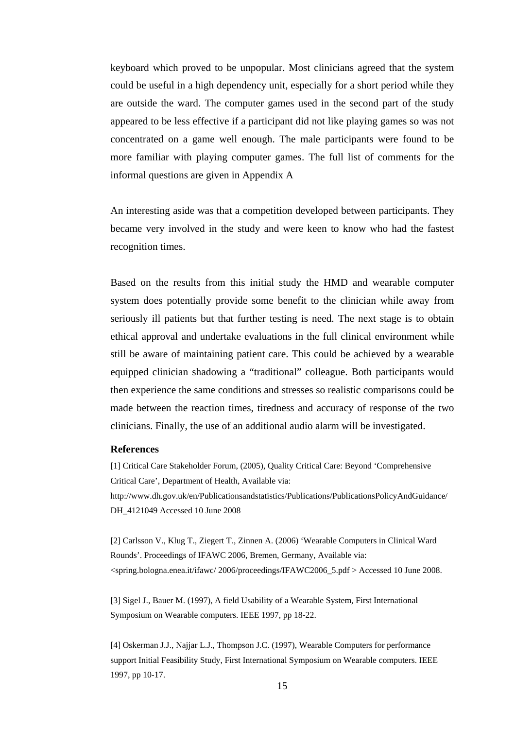keyboard which proved to be unpopular. Most clinicians agreed that the system could be useful in a high dependency unit, especially for a short period while they are outside the ward. The computer games used in the second part of the study appeared to be less effective if a participant did not like playing games so was not concentrated on a game well enough. The male participants were found to be more familiar with playing computer games. The full list of comments for the informal questions are given in Appendix A

An interesting aside was that a competition developed between participants. They became very involved in the study and were keen to know who had the fastest recognition times.

Based on the results from this initial study the HMD and wearable computer system does potentially provide some benefit to the clinician while away from seriously ill patients but that further testing is need. The next stage is to obtain ethical approval and undertake evaluations in the full clinical environment while still be aware of maintaining patient care. This could be achieved by a wearable equipped clinician shadowing a "traditional" colleague. Both participants would then experience the same conditions and stresses so realistic comparisons could be made between the reaction times, tiredness and accuracy of response of the two clinicians. Finally, the use of an additional audio alarm will be investigated.

#### **References**

[1] Critical Care Stakeholder Forum, (2005), Quality Critical Care: Beyond 'Comprehensive Critical Care', Department of Health, Available via: http://www.dh.gov.uk/en/Publicationsandstatistics/Publications/PublicationsPolicyAndGuidance/ DH\_4121049 Accessed 10 June 2008

[2] Carlsson V., Klug T., Ziegert T., Zinnen A. (2006) 'Wearable Computers in Clinical Ward Rounds'. Proceedings of IFAWC 2006, Bremen, Germany, Available via: <spring.bologna.enea.it/ifawc/ 2006/proceedings/IFAWC2006\_5.pdf > Accessed 10 June 2008.

[3] Sigel J., Bauer M. (1997), A field Usability of a Wearable System, First International Symposium on Wearable computers. IEEE 1997, pp 18-22.

[4] Oskerman J.J., Najjar L.J., Thompson J.C. (1997), Wearable Computers for performance support Initial Feasibility Study, First International Symposium on Wearable computers. IEEE 1997, pp 10-17.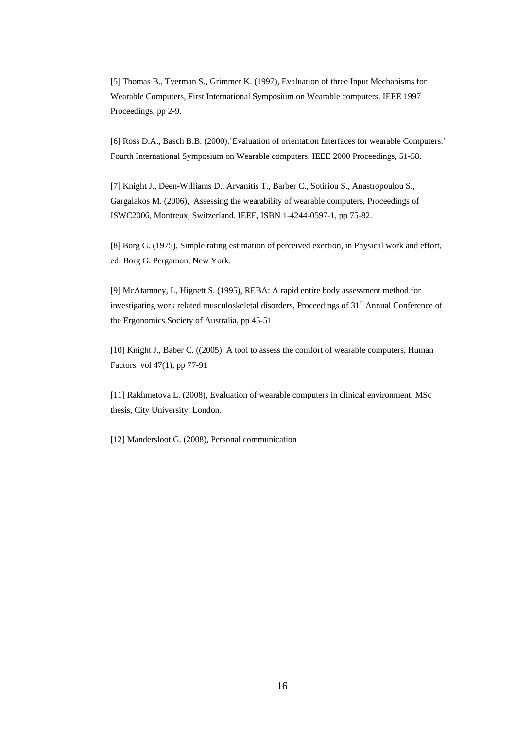[5] Thomas B., Tyerman S., Grimmer K. (1997), Evaluation of three Input Mechanisms for Wearable Computers, First International Symposium on Wearable computers. IEEE 1997 Proceedings, pp 2-9.

[6] Ross D.A., Basch B.B. (2000).'Evaluation of orientation Interfaces for wearable Computers.' Fourth International Symposium on Wearable computers. IEEE 2000 Proceedings, 51-58.

[7] Knight J., Deen-Williams D., Arvanitis T., Barber C., Sotiriou S., Anastropoulou S., Gargalakos M. (2006), Assessing the wearability of wearable computers, Proceedings of ISWC2006, Montreux, Switzerland. IEEE, ISBN 1-4244-0597-1, pp 75-82.

[8] Borg G. (1975), Simple rating estimation of perceived exertion, in Physical work and effort, ed. Borg G. Pergamon, New York.

[9] McAtamney, L, Hignett S. (1995), REBA: A rapid entire body assessment method for investigating work related musculoskeletal disorders, Proceedings of  $31<sup>st</sup>$  Annual Conference of the Ergonomics Society of Australia, pp 45-51

[10] Knight J., Baber C. ((2005), A tool to assess the comfort of wearable computers, Human Factors, vol 47(1), pp 77-91

[11] Rakhmetova L. (2008), Evaluation of wearable computers in clinical environment, MSc thesis, City University, London.

[12] Mandersloot G. (2008), Personal communication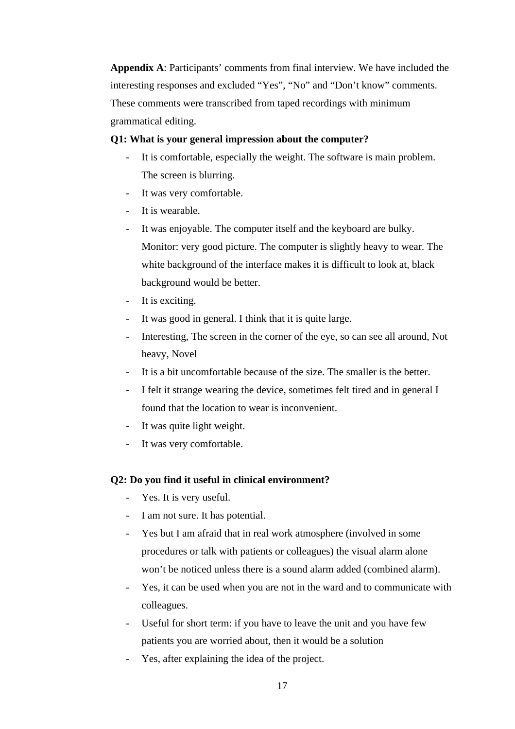**Appendix A**: Participants' comments from final interview. We have included the interesting responses and excluded "Yes", "No" and "Don't know" comments. These comments were transcribed from taped recordings with minimum grammatical editing.

## **Q1: What is your general impression about the computer?**

- It is comfortable, especially the weight. The software is main problem. The screen is blurring.
- It was very comfortable.
- It is wearable.
- It was enjoyable. The computer itself and the keyboard are bulky. Monitor: very good picture. The computer is slightly heavy to wear. The white background of the interface makes it is difficult to look at, black background would be better.
- It is exciting.
- It was good in general. I think that it is quite large.
- Interesting, The screen in the corner of the eye, so can see all around, Not heavy, Novel
- It is a bit uncomfortable because of the size. The smaller is the better.
- I felt it strange wearing the device, sometimes felt tired and in general I found that the location to wear is inconvenient.
- It was quite light weight.
- It was very comfortable.

## **Q2: Do you find it useful in clinical environment?**

- Yes. It is very useful.
- I am not sure. It has potential.
- Yes but I am afraid that in real work atmosphere (involved in some procedures or talk with patients or colleagues) the visual alarm alone won't be noticed unless there is a sound alarm added (combined alarm).
- Yes, it can be used when you are not in the ward and to communicate with colleagues.
- Useful for short term: if you have to leave the unit and you have few patients you are worried about, then it would be a solution
- Yes, after explaining the idea of the project.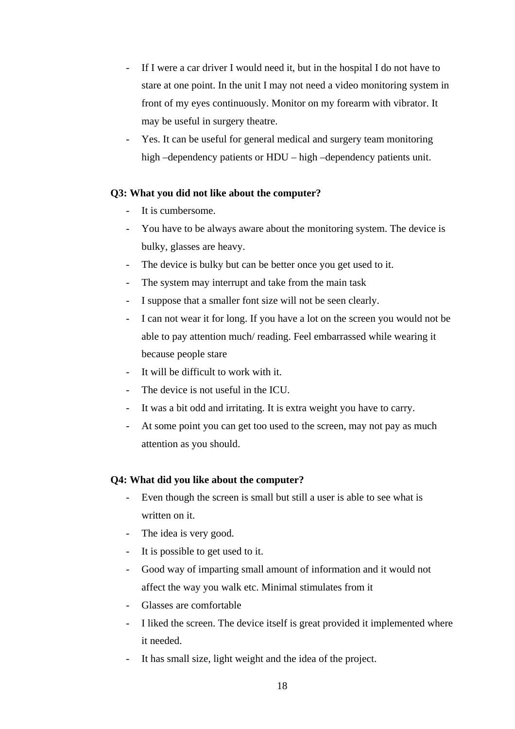- If I were a car driver I would need it, but in the hospital I do not have to stare at one point. In the unit I may not need a video monitoring system in front of my eyes continuously. Monitor on my forearm with vibrator. It may be useful in surgery theatre.
- Yes. It can be useful for general medical and surgery team monitoring high –dependency patients or HDU – high –dependency patients unit.

## **Q3: What you did not like about the computer?**

- It is cumbersome.
- You have to be always aware about the monitoring system. The device is bulky, glasses are heavy.
- The device is bulky but can be better once you get used to it.
- The system may interrupt and take from the main task
- I suppose that a smaller font size will not be seen clearly.
- I can not wear it for long. If you have a lot on the screen you would not be able to pay attention much/ reading. Feel embarrassed while wearing it because people stare
- It will be difficult to work with it.
- The device is not useful in the ICU.
- It was a bit odd and irritating. It is extra weight you have to carry.
- At some point you can get too used to the screen, may not pay as much attention as you should.

## **Q4: What did you like about the computer?**

- Even though the screen is small but still a user is able to see what is written on it.
- The idea is very good.
- It is possible to get used to it.
- Good way of imparting small amount of information and it would not affect the way you walk etc. Minimal stimulates from it
- Glasses are comfortable
- I liked the screen. The device itself is great provided it implemented where it needed.
- It has small size, light weight and the idea of the project.